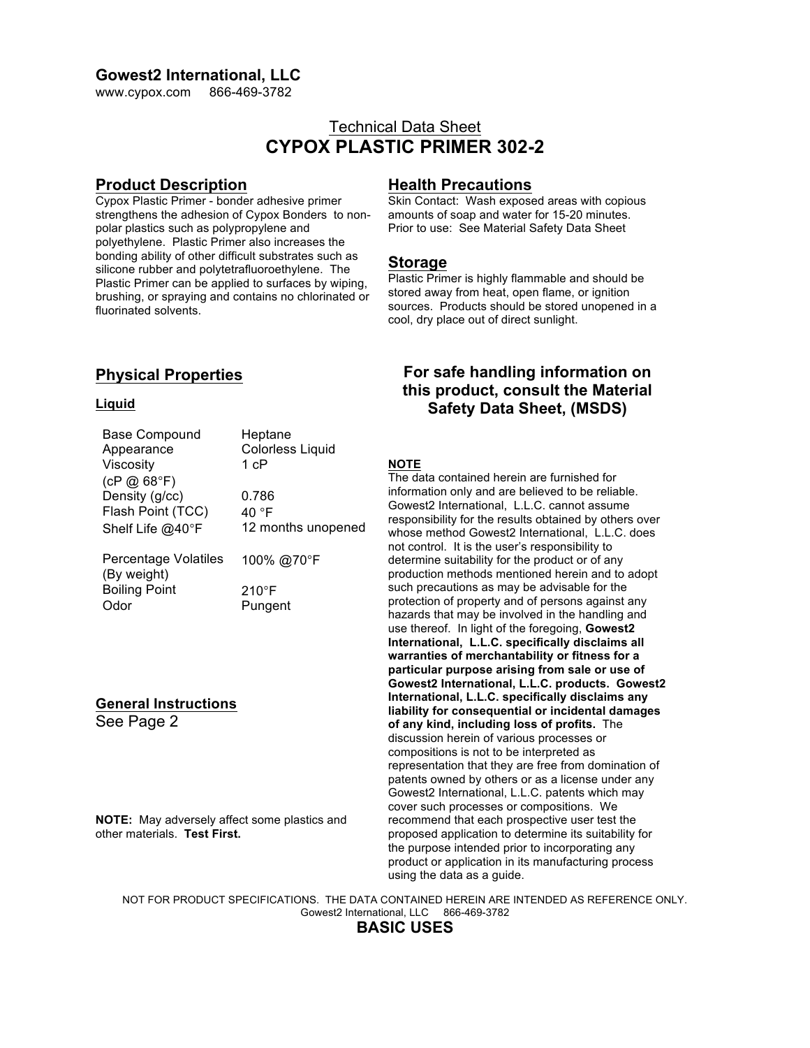### **Gowest2 International, LLC**

www.cypox.com 866-469-3782

# Technical Data Sheet **CYPOX PLASTIC PRIMER 302-2**

## **Product Description**

Cypox Plastic Primer - bonder adhesive primer strengthens the adhesion of Cypox Bonders to nonpolar plastics such as polypropylene and polyethylene. Plastic Primer also increases the bonding ability of other difficult substrates such as silicone rubber and polytetrafluoroethylene. The Plastic Primer can be applied to surfaces by wiping, brushing, or spraying and contains no chlorinated or fluorinated solvents.

## **Physical Properties**

#### **Liquid**

See Page 2

| Base Compound                       | Heptane                 |
|-------------------------------------|-------------------------|
| Appearance                          | <b>Colorless Liquid</b> |
| Viscosity                           | 1 cP                    |
| (CP @ 68°F)                         |                         |
| Density (g/cc)                      | 0.786                   |
| Flash Point (TCC)                   | 40 °F                   |
| Shelf Life @40°F                    | 12 months unopened      |
| Percentage Volatiles<br>(By weight) | 100% @70°F              |
| <b>Boiling Point</b>                | $210^{\circ}$ F         |
| Odor                                | Pungent                 |
|                                     |                         |
|                                     |                         |
|                                     |                         |
|                                     |                         |
| <b>General Instructions</b>         |                         |

**NOTE:** May adversely affect some plastics and other materials. **Test First.**

## **Health Precautions**

Skin Contact: Wash exposed areas with copious amounts of soap and water for 15-20 minutes. Prior to use: See Material Safety Data Sheet

### **Storage**

Plastic Primer is highly flammable and should be stored away from heat, open flame, or ignition sources. Products should be stored unopened in a cool, dry place out of direct sunlight.

# **For safe handling information on this product, consult the Material Safety Data Sheet, (MSDS)**

#### **NOTE**

The data contained herein are furnished for information only and are believed to be reliable. Gowest2 International, L.L.C. cannot assume responsibility for the results obtained by others over whose method Gowest2 International, L.L.C. does not control. It is the user's responsibility to determine suitability for the product or of any production methods mentioned herein and to adopt such precautions as may be advisable for the protection of property and of persons against any hazards that may be involved in the handling and use thereof. In light of the foregoing, **Gowest2 International, L.L.C. specifically disclaims all warranties of merchantability or fitness for a particular purpose arising from sale or use of Gowest2 International, L.L.C. products. Gowest2 International, L.L.C. specifically disclaims any liability for consequential or incidental damages of any kind, including loss of profits.** The discussion herein of various processes or compositions is not to be interpreted as representation that they are free from domination of patents owned by others or as a license under any Gowest2 International, L.L.C. patents which may cover such processes or compositions. We recommend that each prospective user test the proposed application to determine its suitability for the purpose intended prior to incorporating any product or application in its manufacturing process using the data as a guide.

NOT FOR PRODUCT SPECIFICATIONS. THE DATA CONTAINED HEREIN ARE INTENDED AS REFERENCE ONLY. Gowest2 International, LLC 866-469-3782

**BASIC USES**